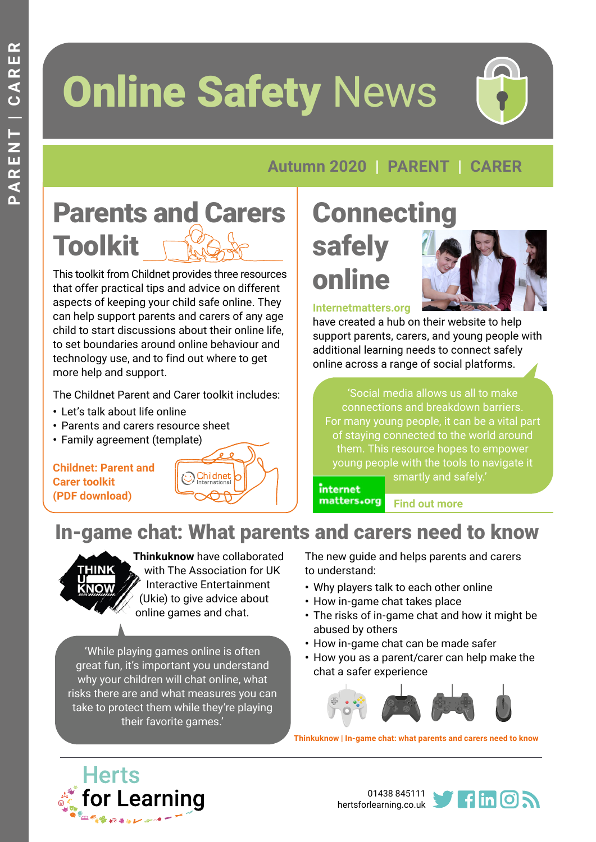# **Online Safety News**



#### **Autumn 2020 | PARENT | CARER**

## Parents and Carers Toolkit

This toolkit from Childnet provides three resources that offer practical tips and advice on different aspects of keeping your child safe online. They can help support parents and carers of any age child to start discussions about their online life, to set boundaries around online behaviour and technology use, and to find out where to get more help and support.

The Childnet Parent and Carer toolkit includes:

**•** Let's talk about life online

**[Childnet: Parent and](https://www.childnet.com/ufiles/Parent-and-Carer-Toolkit.zip)** 

**[Carer toolkit](https://www.childnet.com/ufiles/Parent-and-Carer-Toolkit.zip)  [\(PDF download\)](https://www.childnet.com/ufiles/Parent-and-Carer-Toolkit.zip)**

- **•** Parents and carers resource sheet
- **•** Family agreement (te[mplate\)](https://www.childnet.com/ufiles/Parent-and-Carer-Toolkit.zip)

## **Connecting**

## safely online



**[Internetmatters.org](https://www.internetmatters.org/connecting-safely-online/)**

have created a hub on their website to help support parents, carers, and young people with additional learning needs to connect safely online across a range of social platforms.

'Social media allows us all to make connections and breakdown barriers. For many young people, it can be a vital part of staying connected to the world around them. This resource hopes to empower [young peop](https://www.internetmatters.org/connecting-safely-online/)le with the tools to navigate it

smartly and safely.'

internet

matters.org **[Find out more](https://www.internetmatters.org/connecting-safely-online/)** 

#### In-game chat: What parents and carers need to know



**Thinkuknow** have collaborated with The Association for UK Interactive Entertainment (Ukie) to give advice about online games and chat.

Childnet

'While playing games online is often great fun, it's important you understand why your children will chat online, what risks there are and what measures you can take to protect them while they're playing their favorite games.'

The new guide and helps parents and carers to understand:

- **•** Why players talk to each other online
- **•** How in-game chat takes place
- **•** The risks of in-game chat and how it might be abused by others
- **•** How in-game chat can be made safer
- **•** How you as a parent/carer can help make the chat a safer experience



**[Thinkuknow | In-game chat: what parents and carers need to know](https://www.thinkuknow.co.uk/parents/articles/in-game-chat/?utm_source=Thinkuknow&utm_campaign=176d7bc4c3-TUK_ONLINE_SAFETY_AT_HOME_30_06_20&utm_medium=email&utm_term=0_0b54505554-176d7bc4c3-55209789)**



01438 845111 [hertsforlearning.co.uk](https://www.hertsforlearning.co.uk/)

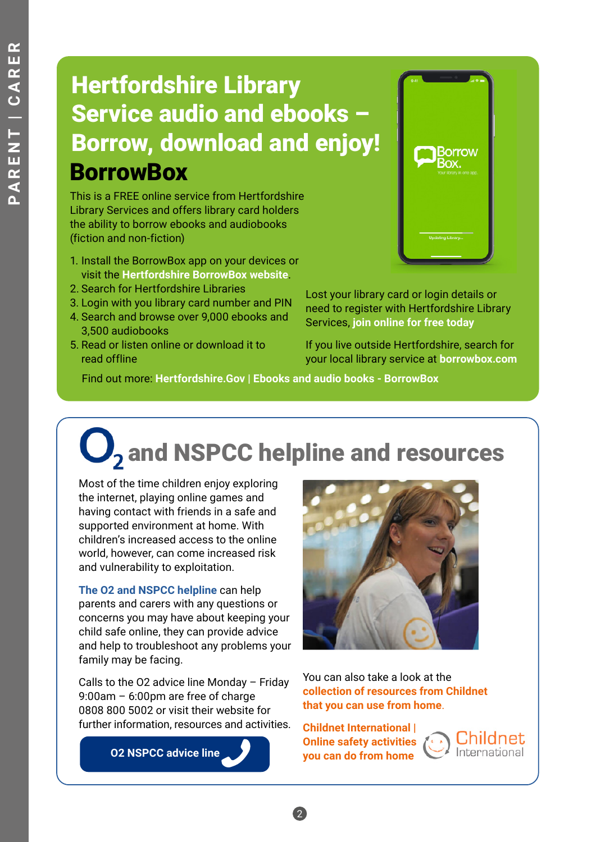### **BorrowBox** Hertfordshire Library Service audio and ebooks – Borrow, download and enjoy!

This is a FREE online service from Hertfordshire Library Services and offers library card holders the ability to borrow ebooks and audiobooks (fiction and non-fiction)

- 1. Install the BorrowBox app on your devices or visit the **[Hertfordshire BorrowBox website](http://library.bolindadigital.com/hertfordshire)**.
- 2. Search for Hertfordshire Libraries
- 3. Login with you library card number and PIN
- 4. Search and browse over 9,000 ebooks and 3,500 audiobooks
- 5. Read or listen online or download it to read offline



Lost your library card or login details or need to register with Hertfordshire Library Services, **[join online for free today](https://herts.spydus.co.uk/cgi-bin/spydus.exe/MSGTRN/OPAC/JOIN?HOMEPRMS=GENPARAMS)**

If you live outside Hertfordshire, search for your local library service at **b[orrowbox.com](https://www.borrowbox.com)**

Find out more: **[Hertfordshire.Gov | Ebooks and audio books - BorrowBox](https://www.hertfordshire.gov.uk/services/Libraries-and-archives/Books-and-reading/Ebooks-and-Audiobooks/ebooks-and-audiobooks.aspx)**

## $\mathbf{Q}_2$  and NSPCC helpline and resources

Most of the time children enjoy exploring the internet, playing online games and having contact with friends in a safe and supported environment at home. With children's increased access to the online world, however, can come increased risk and vulnerability to exploitation.

**[The O2 and NSPCC helpline](https://childnet.cmail19.com/t/j-l-qhyjldk-jlvhtdddd-k/)** can help parents and carers with any questions or concerns you may have about keeping your child safe online, they can provide advice and help to troubleshoot any problems your family may be facing.

Calls to the O2 advice line Monday – Friday 9:00am – 6:00pm are free of charge 0808 800 5002 or visit their website for further information, resources and activities.

 **[O2 NSPCC advice line](https://www.o2.co.uk/help/nspcc/adviceline)**



You can also take a look at the **[collection of resources from Childnet](https://childnet.cmail19.com/t/j-l-qhyjldk-jlvhtdddd-u/) [that you can use from home](https://childnet.cmail19.com/t/j-l-qhyjldk-jlvhtdddd-u/)**.

**[Childnet International |](https://www.childnet.com/resources/online-safety-activities-you-can-do-from-home?utm_medium=email&utm_campaign=Childnet%20Newsletter%20-%207th%20July%202020&utm_content=Childnet%20Newsletter%20-%207th%20July%202020+CID_552260f2da70566bc5ffc9ed22ae8e41&utm_source=Campaign%20Monitor&utm_term=collection%20of%20resources%20you%20can%20use%20from%20home)  [Online safety activities](https://www.childnet.com/resources/online-safety-activities-you-can-do-from-home?utm_medium=email&utm_campaign=Childnet%20Newsletter%20-%207th%20July%202020&utm_content=Childnet%20Newsletter%20-%207th%20July%202020+CID_552260f2da70566bc5ffc9ed22ae8e41&utm_source=Campaign%20Monitor&utm_term=collection%20of%20resources%20you%20can%20use%20from%20home)  [you can do from home](https://www.childnet.com/resources/online-safety-activities-you-can-do-from-home?utm_medium=email&utm_campaign=Childnet%20Newsletter%20-%207th%20July%202020&utm_content=Childnet%20Newsletter%20-%207th%20July%202020+CID_552260f2da70566bc5ffc9ed22ae8e41&utm_source=Campaign%20Monitor&utm_term=collection%20of%20resources%20you%20can%20use%20from%20home)**

2